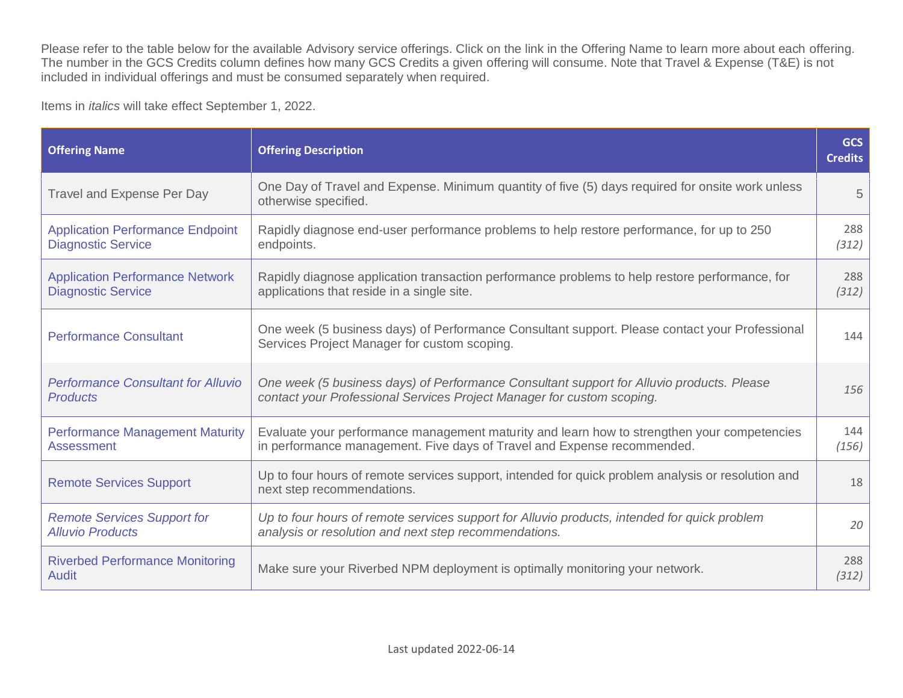Please refer to the table below for the available Advisory service offerings. Click on the link in the Offering Name to learn more about each offering. The number in the GCS Credits column defines how many GCS Credits a given offering will consume. Note that Travel & Expense (T&E) is not included in individual offerings and must be consumed separately when required.

Items in *italics* will take effect September 1, 2022.

| <b>Offering Name</b>                                                 | <b>Offering Description</b>                                                                                                                                            | <b>GCS</b><br><b>Credits</b> |
|----------------------------------------------------------------------|------------------------------------------------------------------------------------------------------------------------------------------------------------------------|------------------------------|
| Travel and Expense Per Day                                           | One Day of Travel and Expense. Minimum quantity of five (5) days required for onsite work unless<br>otherwise specified.                                               | 5                            |
| <b>Application Performance Endpoint</b><br><b>Diagnostic Service</b> | Rapidly diagnose end-user performance problems to help restore performance, for up to 250<br>endpoints.                                                                | 288<br>(312)                 |
| <b>Application Performance Network</b><br><b>Diagnostic Service</b>  | Rapidly diagnose application transaction performance problems to help restore performance, for<br>applications that reside in a single site.                           | 288<br>(312)                 |
| <b>Performance Consultant</b>                                        | One week (5 business days) of Performance Consultant support. Please contact your Professional<br>Services Project Manager for custom scoping.                         | 144                          |
| <b>Performance Consultant for Alluvio</b><br><b>Products</b>         | One week (5 business days) of Performance Consultant support for Alluvio products. Please<br>contact your Professional Services Project Manager for custom scoping.    | 156                          |
| <b>Performance Management Maturity</b><br><b>Assessment</b>          | Evaluate your performance management maturity and learn how to strengthen your competencies<br>in performance management. Five days of Travel and Expense recommended. | 144<br>(156)                 |
| <b>Remote Services Support</b>                                       | Up to four hours of remote services support, intended for quick problem analysis or resolution and<br>next step recommendations.                                       | 18                           |
| <b>Remote Services Support for</b><br><b>Alluvio Products</b>        | Up to four hours of remote services support for Alluvio products, intended for quick problem<br>analysis or resolution and next step recommendations.                  | 20                           |
| <b>Riverbed Performance Monitoring</b><br>Audit                      | Make sure your Riverbed NPM deployment is optimally monitoring your network.                                                                                           | 288<br>(312)                 |